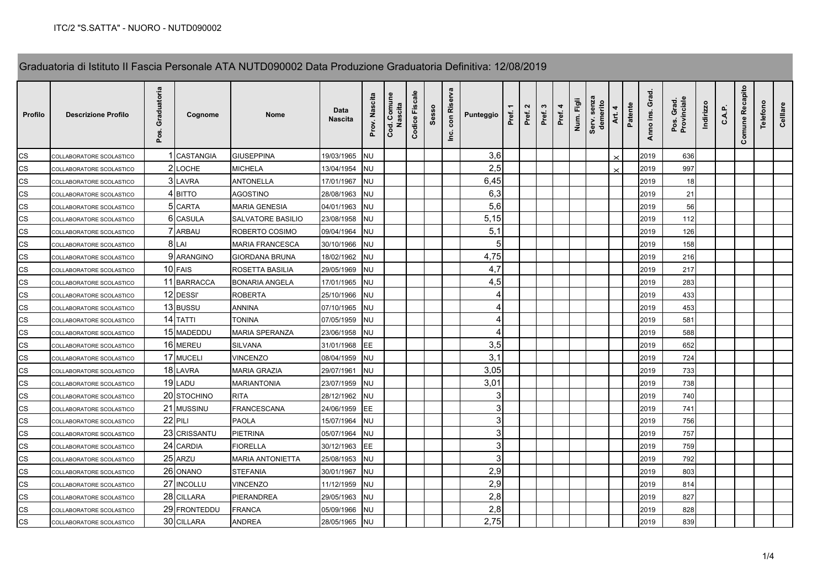## Graduatoria di Istituto II Fascia Personale ATA NUTD090002 Data Produzione Graduatoria Definitiva: 12/08/2019

| <b>Profilo</b>           | <b>Descrizione Profilo</b> | uatoria<br>ह<br>ò<br>pos. | Cognome          | <b>Nome</b>             | Data<br>Nascita | Prov. Nascita | Comune<br>Nasci<br>Cod. | ۹e<br>Fisca<br>Codice | Sesso | Riserva<br>$\mathop{\mathsf{con}}$<br>ن<br>ڪ | Punteggio      | Pref. | $\mathbf{a}$<br>Pref. | w<br>Pref. | 4<br>Pref. | Num. Figl | Serv. senz<br>demerito | 4<br>Art. | Patente | Anno ins. Grad | Pos. Grad.<br>Provinciale | Indirizzo | $\mathbf{o}$ | Comune Recapito | Telefon | Celllare |
|--------------------------|----------------------------|---------------------------|------------------|-------------------------|-----------------|---------------|-------------------------|-----------------------|-------|----------------------------------------------|----------------|-------|-----------------------|------------|------------|-----------|------------------------|-----------|---------|----------------|---------------------------|-----------|--------------|-----------------|---------|----------|
| <b>CS</b>                | COLLABORATORE SCOLASTICO   |                           | <b>CASTANGIA</b> | <b>GIUSEPPINA</b>       | 19/03/1965      | <b>NU</b>     |                         |                       |       |                                              | 3,6            |       |                       |            |            |           |                        |           |         | 2019           | 636                       |           |              |                 |         |          |
| CS                       | COLLABORATORE SCOLASTICO   |                           | 2 LOCHE          | <b>MICHELA</b>          | 13/04/1954      | <b>NU</b>     |                         |                       |       |                                              | 2,5            |       |                       |            |            |           |                        |           |         | 2019           | 997                       |           |              |                 |         |          |
| <b>CS</b>                | COLLABORATORE SCOLASTICO   |                           | 3 LAVRA          | <b>ANTONELLA</b>        | 17/01/1967      | <b>NU</b>     |                         |                       |       |                                              | 6,45           |       |                       |            |            |           |                        |           |         | 2019           | 18                        |           |              |                 |         |          |
| <b>CS</b>                | COLLABORATORE SCOLASTICO   |                           | 4 BITTO          | <b>AGOSTINO</b>         | 28/08/1963      | <b>NU</b>     |                         |                       |       |                                              | 6,3            |       |                       |            |            |           |                        |           |         | 2019           | 21                        |           |              |                 |         |          |
| CS                       | COLLABORATORE SCOLASTICO   |                           | 5 CARTA          | <b>MARIA GENESIA</b>    | 04/01/1963      | <b>NU</b>     |                         |                       |       |                                              | 5,6            |       |                       |            |            |           |                        |           |         | 2019           | 56                        |           |              |                 |         |          |
| CS                       | COLLABORATORE SCOLASTICO   |                           | 6 CASULA         | SALVATORE BASILIO       | 23/08/1958      | <b>NU</b>     |                         |                       |       |                                              | 5,15           |       |                       |            |            |           |                        |           |         | 2019           | 112                       |           |              |                 |         |          |
| CS                       | COLLABORATORE SCOLASTICO   |                           | 7 ARBAU          | ROBERTO COSIMO          | 09/04/1964      | <b>NU</b>     |                         |                       |       |                                              | 5,1            |       |                       |            |            |           |                        |           |         | 2019           | 126                       |           |              |                 |         |          |
| <b>CS</b>                | COLLABORATORE SCOLASTICO   |                           | 8LAI             | MARIA FRANCESCA         | 30/10/1966      | NU            |                         |                       |       |                                              | 5              |       |                       |            |            |           |                        |           |         | 2019           | 158                       |           |              |                 |         |          |
| <b>CS</b>                | COLLABORATORE SCOLASTICO   |                           | 9 ARANGINO       | GIORDANA BRUNA          | 18/02/1962      | <b>NU</b>     |                         |                       |       |                                              | 4,75           |       |                       |            |            |           |                        |           |         | 2019           | 216                       |           |              |                 |         |          |
| CS                       | COLLABORATORE SCOLASTICO   |                           | 10 FAIS          | ROSETTA BASILIA         | 29/05/1969      | <b>NU</b>     |                         |                       |       |                                              | 4,7            |       |                       |            |            |           |                        |           |         | 2019           | 217                       |           |              |                 |         |          |
| $\mathsf{CS}\phantom{0}$ | COLLABORATORE SCOLASTICO   |                           | 11 BARRACCA      | <b>BONARIA ANGELA</b>   | 17/01/1965      | <b>NU</b>     |                         |                       |       |                                              | 4,5            |       |                       |            |            |           |                        |           |         | 2019           | 283                       |           |              |                 |         |          |
| CS                       | COLLABORATORE SCOLASTICO   |                           | 12 DESSI'        | <b>ROBERTA</b>          | 25/10/1966      | <b>NU</b>     |                         |                       |       |                                              | 4              |       |                       |            |            |           |                        |           |         | 2019           | 433                       |           |              |                 |         |          |
| <b>CS</b>                | COLLABORATORE SCOLASTICO   |                           | 13 BUSSU         | <b>ANNINA</b>           | 07/10/1965      | <b>NU</b>     |                         |                       |       |                                              | 4              |       |                       |            |            |           |                        |           |         | 2019           | 453                       |           |              |                 |         |          |
| <b>CS</b>                | COLLABORATORE SCOLASTICO   |                           | 14 TATTI         | TONINA                  | 07/05/1959      | <b>NU</b>     |                         |                       |       |                                              | $\overline{4}$ |       |                       |            |            |           |                        |           |         | 2019           | 581                       |           |              |                 |         |          |
| <b>CS</b>                | COLLABORATORE SCOLASTICO   |                           | 15 MADEDDU       | MARIA SPERANZA          | 23/06/1958      | <b>NU</b>     |                         |                       |       |                                              |                |       |                       |            |            |           |                        |           |         | 2019           | 588                       |           |              |                 |         |          |
| <b>CS</b>                | COLLABORATORE SCOLASTICO   |                           | 16 MEREU         | SILVANA                 | 31/01/1968      | EE.           |                         |                       |       |                                              | 3,5            |       |                       |            |            |           |                        |           |         | 2019           | 652                       |           |              |                 |         |          |
| <b>CS</b>                | COLLABORATORE SCOLASTICO   |                           | 17 MUCELI        | VINCENZO                | 08/04/1959      | <b>NU</b>     |                         |                       |       |                                              | 3,1            |       |                       |            |            |           |                        |           |         | 2019           | 724                       |           |              |                 |         |          |
| CS                       | COLLABORATORE SCOLASTICO   |                           | 18 LAVRA         | MARIA GRAZIA            | 29/07/1961      | NU            |                         |                       |       |                                              | 3,05           |       |                       |            |            |           |                        |           |         | 2019           | 733                       |           |              |                 |         |          |
| CS                       | COLLABORATORE SCOLASTICO   |                           | 19 LADU          | <b>MARIANTONIA</b>      | 23/07/1959      | <b>NU</b>     |                         |                       |       |                                              | 3,01           |       |                       |            |            |           |                        |           |         | 2019           | 738                       |           |              |                 |         |          |
| CS                       | COLLABORATORE SCOLASTICO   |                           | 20 STOCHINO      | <b>RITA</b>             | 28/12/1962      | <b>NU</b>     |                         |                       |       |                                              | 3              |       |                       |            |            |           |                        |           |         | 2019           | 740                       |           |              |                 |         |          |
| $\mathsf{CS}\phantom{0}$ | COLLABORATORE SCOLASTICO   | 21                        | <b>MUSSINU</b>   | FRANCESCANA             | 24/06/1959      | EE            |                         |                       |       |                                              | 3              |       |                       |            |            |           |                        |           |         | 2019           | 741                       |           |              |                 |         |          |
| $\mathsf{CS}\xspace$     | COLLABORATORE SCOLASTICO   |                           | 22 PILI          | <b>PAOLA</b>            | 15/07/1964      | <b>NU</b>     |                         |                       |       |                                              | $\mathbf{3}$   |       |                       |            |            |           |                        |           |         | 2019           | 756                       |           |              |                 |         |          |
| <b>CS</b>                | COLLABORATORE SCOLASTICO   |                           | 23 CRISSANTU     | <b>PIETRINA</b>         | 05/07/1964      | <b>NU</b>     |                         |                       |       |                                              | 3              |       |                       |            |            |           |                        |           |         | 2019           | 757                       |           |              |                 |         |          |
| CS                       | COLLABORATORE SCOLASTICO   |                           | 24 CARDIA        | <b>FIORELLA</b>         | 30/12/1963      | <b>EE</b>     |                         |                       |       |                                              | 3              |       |                       |            |            |           |                        |           |         | 2019           | 759                       |           |              |                 |         |          |
| <b>CS</b>                | COLLABORATORE SCOLASTICO   |                           | 25 ARZU          | <b>MARIA ANTONIETTA</b> | 25/08/1953      | <b>NU</b>     |                         |                       |       |                                              | 3              |       |                       |            |            |           |                        |           |         | 2019           | 792                       |           |              |                 |         |          |
| <b>CS</b>                | COLLABORATORE SCOLASTICO   |                           | 26 ONANO         | <b>STEFANIA</b>         | 30/01/1967      | <b>NU</b>     |                         |                       |       |                                              | 2,9            |       |                       |            |            |           |                        |           |         | 2019           | 803                       |           |              |                 |         |          |
| <b>CS</b>                | COLLABORATORE SCOLASTICO   |                           | 27 INCOLLU       | VINCENZO                | 11/12/1959      | <b>NU</b>     |                         |                       |       |                                              | 2,9            |       |                       |            |            |           |                        |           |         | 2019           | 814                       |           |              |                 |         |          |
| <b>CS</b>                | COLLABORATORE SCOLASTICO   |                           | 28 CILLARA       | PIERANDREA              | 29/05/1963      | <b>NU</b>     |                         |                       |       |                                              | 2,8            |       |                       |            |            |           |                        |           |         | 2019           | 827                       |           |              |                 |         |          |
| $\mathsf{CS}\phantom{0}$ | COLLABORATORE SCOLASTICO   |                           | 29 FRONTEDDU     | <b>FRANCA</b>           | 05/09/1966      | <b>NU</b>     |                         |                       |       |                                              | 2,8            |       |                       |            |            |           |                        |           |         | 2019           | 828                       |           |              |                 |         |          |
| <b>CS</b>                | COLLABORATORE SCOLASTICO   |                           | 30 CILLARA       | <b>ANDREA</b>           | 28/05/1965      | <b>NU</b>     |                         |                       |       |                                              | 2,75           |       |                       |            |            |           |                        |           |         | 2019           | 839                       |           |              |                 |         |          |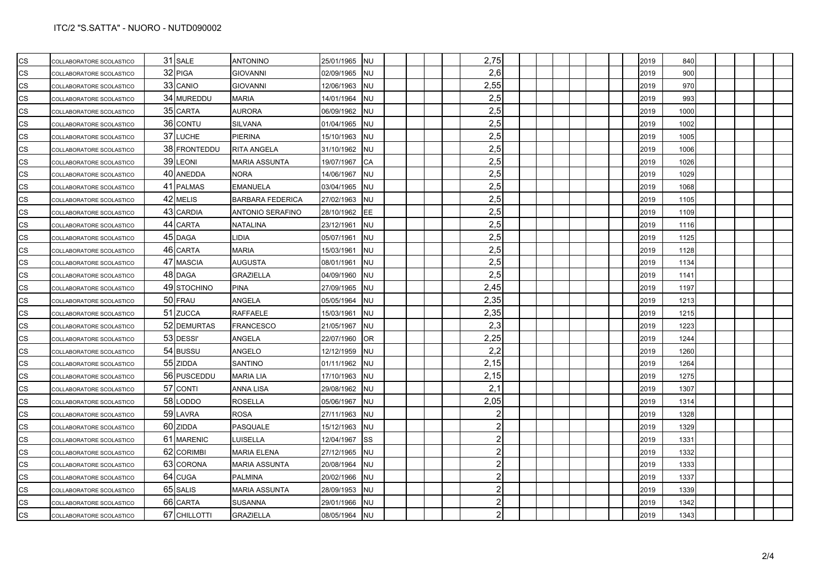| CS        | COLLABORATORE SCOLASTICO | 31 SALE      | <b>ANTONINO</b>         | 25/01/1965 | <b>INU</b> |  |  | 2,75           |  |  | 2019 | 840  |  |  |
|-----------|--------------------------|--------------|-------------------------|------------|------------|--|--|----------------|--|--|------|------|--|--|
| CS        | COLLABORATORE SCOLASTICO | 32 PIGA      | <b>GIOVANNI</b>         | 02/09/1965 | <b>NU</b>  |  |  | 2,6            |  |  | 2019 | 900  |  |  |
| CS        | COLLABORATORE SCOLASTICO | 33 CANIO     | <b>GIOVANNI</b>         | 12/06/1963 | <b>NU</b>  |  |  | 2,55           |  |  | 2019 | 970  |  |  |
| CS        | COLLABORATORE SCOLASTICO | 34 MUREDDU   | <b>MARIA</b>            | 14/01/1964 | <b>NU</b>  |  |  | 2,5            |  |  | 2019 | 993  |  |  |
| CS        | COLLABORATORE SCOLASTICO | 35 CARTA     | <b>AURORA</b>           | 06/09/1962 | <b>NU</b>  |  |  | 2,5            |  |  | 2019 | 1000 |  |  |
| CS        | COLLABORATORE SCOLASTICO | 36 CONTU     | <b>SILVANA</b>          | 01/04/1965 | <b>NU</b>  |  |  | 2,5            |  |  | 2019 | 1002 |  |  |
| CS        | COLLABORATORE SCOLASTICO | 37 LUCHE     | <b>PIERINA</b>          | 15/10/1963 | <b>NU</b>  |  |  | 2,5            |  |  | 2019 | 1005 |  |  |
| CS        | COLLABORATORE SCOLASTICO | 38 FRONTEDDU | <b>RITA ANGELA</b>      | 31/10/1962 | <b>NU</b>  |  |  | 2,5            |  |  | 2019 | 1006 |  |  |
| CS        | COLLABORATORE SCOLASTICO | 39 LEONI     | <b>MARIA ASSUNTA</b>    | 19/07/1967 | <b>CA</b>  |  |  | 2,5            |  |  | 2019 | 1026 |  |  |
| CS        | COLLABORATORE SCOLASTICO | 40 ANEDDA    | <b>NORA</b>             | 14/06/1967 | <b>NU</b>  |  |  | 2,5            |  |  | 2019 | 1029 |  |  |
| CS        | COLLABORATORE SCOLASTICO | 41 PALMAS    | <b>EMANUELA</b>         | 03/04/1965 | <b>NU</b>  |  |  | 2,5            |  |  | 2019 | 1068 |  |  |
| CS        | COLLABORATORE SCOLASTICO | 42 MELIS     | <b>BARBARA FEDERICA</b> | 27/02/1963 | <b>NU</b>  |  |  | 2,5            |  |  | 2019 | 1105 |  |  |
| CS        | COLLABORATORE SCOLASTICO | 43 CARDIA    | ANTONIO SERAFINO        | 28/10/1962 | EE         |  |  | 2,5            |  |  | 2019 | 1109 |  |  |
| CS        | COLLABORATORE SCOLASTICO | 44 CARTA     | <b>NATALINA</b>         | 23/12/1961 | <b>NU</b>  |  |  | 2,5            |  |  | 2019 | 1116 |  |  |
| CS        | COLLABORATORE SCOLASTICO | 45 DAGA      | LIDIA                   | 05/07/1961 | <b>NU</b>  |  |  | 2,5            |  |  | 2019 | 1125 |  |  |
| CS        | COLLABORATORE SCOLASTICO | 46 CARTA     | <b>MARIA</b>            | 15/03/1961 | <b>NU</b>  |  |  | 2,5            |  |  | 2019 | 1128 |  |  |
| CS        | COLLABORATORE SCOLASTICO | 47 MASCIA    | <b>AUGUSTA</b>          | 08/01/1961 | <b>NU</b>  |  |  | 2,5            |  |  | 2019 | 1134 |  |  |
| CS        | COLLABORATORE SCOLASTICO | 48 DAGA      | <b>GRAZIELLA</b>        | 04/09/1960 | <b>NU</b>  |  |  | 2,5            |  |  | 2019 | 1141 |  |  |
| CS        | COLLABORATORE SCOLASTICO | 49 STOCHINO  | <b>PINA</b>             | 27/09/1965 | <b>NU</b>  |  |  | 2,45           |  |  | 2019 | 1197 |  |  |
| CS        | COLLABORATORE SCOLASTICO | 50 FRAU      | ANGELA                  | 05/05/1964 | <b>NU</b>  |  |  | 2,35           |  |  | 2019 | 1213 |  |  |
| CS        | COLLABORATORE SCOLASTICO | 51 ZUCCA     | <b>RAFFAELE</b>         | 15/03/1961 | <b>NU</b>  |  |  | 2,35           |  |  | 2019 | 1215 |  |  |
| CS        | COLLABORATORE SCOLASTICO | 52 DEMURTAS  | <b>FRANCESCO</b>        | 21/05/1967 | <b>NU</b>  |  |  | 2,3            |  |  | 2019 | 1223 |  |  |
| CS        | COLLABORATORE SCOLASTICO | 53 DESSI'    | ANGELA                  | 22/07/1960 | OR.        |  |  | 2,25           |  |  | 2019 | 1244 |  |  |
| CS        | COLLABORATORE SCOLASTICO | 54 BUSSU     | ANGELO                  | 12/12/1959 | <b>NU</b>  |  |  | 2,2            |  |  | 2019 | 1260 |  |  |
| CS        | COLLABORATORE SCOLASTICO | 55 ZIDDA     | <b>SANTINO</b>          | 01/11/1962 | <b>NU</b>  |  |  | 2,15           |  |  | 2019 | 1264 |  |  |
| <b>CS</b> | COLLABORATORE SCOLASTICO | 56 PUSCEDDU  | <b>MARIA LIA</b>        | 17/10/1963 | <b>NU</b>  |  |  | 2,15           |  |  | 2019 | 1275 |  |  |
| CS        | COLLABORATORE SCOLASTICO | 57 CONTI     | <b>ANNA LISA</b>        | 29/08/1962 | <b>NU</b>  |  |  | 2,1            |  |  | 2019 | 1307 |  |  |
| CS        | COLLABORATORE SCOLASTICO | 58 LODDO     | <b>ROSELLA</b>          | 05/06/1967 | <b>NU</b>  |  |  | 2,05           |  |  | 2019 | 1314 |  |  |
| CS        | COLLABORATORE SCOLASTICO | 59 LAVRA     | <b>ROSA</b>             | 27/11/1963 | <b>NU</b>  |  |  | $\mathbf{2}$   |  |  | 2019 | 1328 |  |  |
| <b>CS</b> | COLLABORATORE SCOLASTICO | 60 ZIDDA     | PASQUALE                | 15/12/1963 | <b>NU</b>  |  |  | $\mathbf{2}$   |  |  | 2019 | 1329 |  |  |
| CS        | COLLABORATORE SCOLASTICO | 61 MARENIC   | LUISELLA                | 12/04/1967 | SS         |  |  | $\mathbf{2}$   |  |  | 2019 | 1331 |  |  |
| CS        | COLLABORATORE SCOLASTICO | 62 CORIMBI   | <b>MARIA ELENA</b>      | 27/12/1965 | <b>NU</b>  |  |  | $\mathbf{2}$   |  |  | 2019 | 1332 |  |  |
| <b>CS</b> | COLLABORATORE SCOLASTICO | 63 CORONA    | <b>MARIA ASSUNTA</b>    | 20/08/1964 | <b>NU</b>  |  |  | $\overline{2}$ |  |  | 2019 | 1333 |  |  |
| CS        | COLLABORATORE SCOLASTICO | 64 CUGA      | <b>PALMINA</b>          | 20/02/1966 | <b>NU</b>  |  |  | $\overline{2}$ |  |  | 2019 | 1337 |  |  |
| CS        | COLLABORATORE SCOLASTICO | 65 SALIS     | MARIA ASSUNTA           | 28/09/1953 | <b>NU</b>  |  |  | $\overline{2}$ |  |  | 2019 | 1339 |  |  |
| CS        | COLLABORATORE SCOLASTICO | 66 CARTA     | <b>SUSANNA</b>          | 29/01/1966 | <b>NU</b>  |  |  | $\overline{2}$ |  |  | 2019 | 1342 |  |  |
| <b>CS</b> | COLLABORATORE SCOLASTICO | 67 CHILLOTTI | <b>GRAZIELLA</b>        | 08/05/1964 | <b>NU</b>  |  |  |                |  |  | 2019 | 1343 |  |  |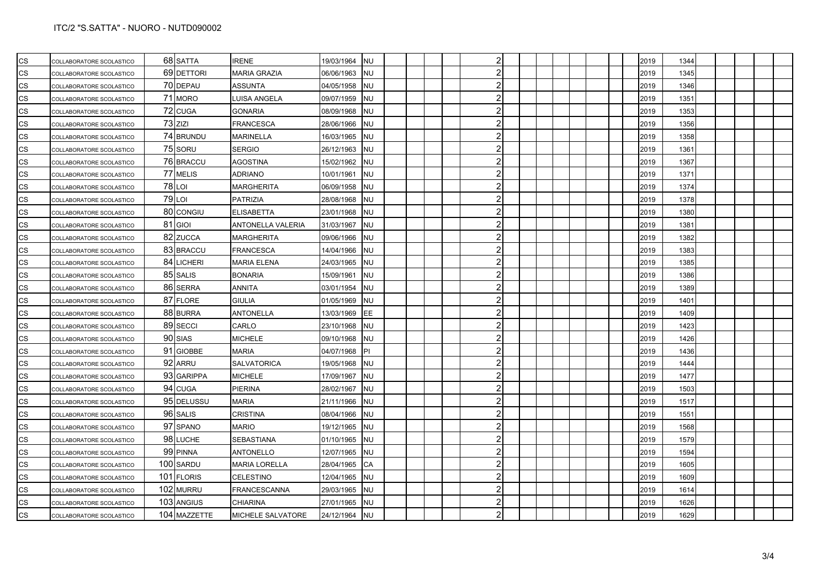| CS        | COLLABORATORE SCOLASTICO |     | 68 SATTA      | <b>IRENE</b>         | 19/03/1964 | <b>NU</b> |  |  | $\overline{2}$          |  |  |  | 2019 | 1344 |  |  |  |
|-----------|--------------------------|-----|---------------|----------------------|------------|-----------|--|--|-------------------------|--|--|--|------|------|--|--|--|
| CS        | COLLABORATORE SCOLASTICO |     | 69 DETTORI    | <b>MARIA GRAZIA</b>  | 06/06/1963 | <b>NU</b> |  |  | $\overline{2}$          |  |  |  | 2019 | 1345 |  |  |  |
| CS        | COLLABORATORE SCOLASTICO |     | 70 DEPAU      | ASSUNTA              | 04/05/1958 | <b>NU</b> |  |  | $\overline{2}$          |  |  |  | 2019 | 1346 |  |  |  |
| CS        | COLLABORATORE SCOLASTICO |     | 71 MORO       | LUISA ANGELA         | 09/07/1959 | <b>NU</b> |  |  | $\overline{2}$          |  |  |  | 2019 | 1351 |  |  |  |
| <b>CS</b> | COLLABORATORE SCOLASTICO |     | 72 CUGA       | <b>GONARIA</b>       | 08/09/1968 | <b>NU</b> |  |  | $\overline{2}$          |  |  |  | 2019 | 1353 |  |  |  |
| CS        | COLLABORATORE SCOLASTICO |     | 73 ZIZI       | <b>FRANCESCA</b>     | 28/06/1966 | <b>NU</b> |  |  | $\overline{2}$          |  |  |  | 2019 | 1356 |  |  |  |
| CS        | COLLABORATORE SCOLASTICO |     | 74 BRUNDU     | <b>MARINELLA</b>     | 16/03/1965 | <b>NU</b> |  |  | $\overline{2}$          |  |  |  | 2019 | 1358 |  |  |  |
| CS        | COLLABORATORE SCOLASTICO |     | 75 SORU       | <b>SERGIO</b>        | 26/12/1963 | <b>NU</b> |  |  | $\overline{2}$          |  |  |  | 2019 | 1361 |  |  |  |
| CS        | COLLABORATORE SCOLASTICO |     | 76 BRACCU     | <b>AGOSTINA</b>      | 15/02/1962 | <b>NU</b> |  |  | $\overline{2}$          |  |  |  | 2019 | 1367 |  |  |  |
| CS        | COLLABORATORE SCOLASTICO |     | 77 MELIS      | ADRIANO              | 10/01/1961 | <b>NU</b> |  |  | $\overline{2}$          |  |  |  | 2019 | 1371 |  |  |  |
| <b>CS</b> | COLLABORATORE SCOLASTICO |     | <b>78 LOI</b> | <b>MARGHERITA</b>    | 06/09/1958 | <b>NU</b> |  |  | $\overline{2}$          |  |  |  | 2019 | 1374 |  |  |  |
| <b>CS</b> | COLLABORATORE SCOLASTICO |     | $79$ LOI      | <b>PATRIZIA</b>      | 28/08/1968 | <b>NU</b> |  |  | $\overline{2}$          |  |  |  | 2019 | 1378 |  |  |  |
| CS        | COLLABORATORE SCOLASTICO |     | 80 CONGIU     | <b>ELISABETTA</b>    | 23/01/1968 | <b>NU</b> |  |  | $\overline{2}$          |  |  |  | 2019 | 1380 |  |  |  |
| CS        | COLLABORATORE SCOLASTICO |     | 81 GIOI       | ANTONELLA VALERIA    | 31/03/1967 | <b>NU</b> |  |  | $\overline{2}$          |  |  |  | 2019 | 1381 |  |  |  |
| <b>CS</b> | COLLABORATORE SCOLASTICO |     | 82 ZUCCA      | <b>MARGHERITA</b>    | 09/06/1966 | <b>NU</b> |  |  | $\overline{2}$          |  |  |  | 2019 | 1382 |  |  |  |
| CS        | COLLABORATORE SCOLASTICO |     | 83 BRACCU     | <b>FRANCESCA</b>     | 14/04/1966 | <b>NU</b> |  |  | $\overline{2}$          |  |  |  | 2019 | 1383 |  |  |  |
| CS        | COLLABORATORE SCOLASTICO |     | 84 LICHERI    | <b>MARIA ELENA</b>   | 24/03/1965 | <b>NU</b> |  |  | $\overline{2}$          |  |  |  | 2019 | 1385 |  |  |  |
| CS        | COLLABORATORE SCOLASTICO |     | 85 SALIS      | <b>BONARIA</b>       | 15/09/1961 | <b>NU</b> |  |  | $\overline{2}$          |  |  |  | 2019 | 1386 |  |  |  |
| CS        | COLLABORATORE SCOLASTICO |     | 86 SERRA      | <b>ANNITA</b>        | 03/01/1954 | <b>NU</b> |  |  | $\overline{2}$          |  |  |  | 2019 | 1389 |  |  |  |
| CS        | COLLABORATORE SCOLASTICO |     | 87 FLORE      | <b>GIULIA</b>        | 01/05/1969 | <b>NU</b> |  |  | $\overline{2}$          |  |  |  | 2019 | 1401 |  |  |  |
| CS        | COLLABORATORE SCOLASTICO |     | 88 BURRA      | <b>ANTONELLA</b>     | 13/03/1969 | EE        |  |  | $\overline{2}$          |  |  |  | 2019 | 1409 |  |  |  |
| CS        | COLLABORATORE SCOLASTICO |     | 89 SECCI      | CARLO                | 23/10/1968 | <b>NU</b> |  |  | $\overline{2}$          |  |  |  | 2019 | 1423 |  |  |  |
| CS        | COLLABORATORE SCOLASTICO |     | 90 SIAS       | <b>MICHELE</b>       | 09/10/1968 | <b>NU</b> |  |  | $\overline{2}$          |  |  |  | 2019 | 1426 |  |  |  |
| CS        | COLLABORATORE SCOLASTICO |     | 91 GIOBBE     | <b>MARIA</b>         | 04/07/1968 | <b>PI</b> |  |  | $\overline{2}$          |  |  |  | 2019 | 1436 |  |  |  |
| CS        | COLLABORATORE SCOLASTICO |     | 92 ARRU       | <b>SALVATORICA</b>   | 19/05/1968 | <b>NU</b> |  |  | $\overline{2}$          |  |  |  | 2019 | 1444 |  |  |  |
| <b>CS</b> | COLLABORATORE SCOLASTICO |     | 93 GARIPPA    | <b>MICHELE</b>       | 17/09/1967 | <b>NU</b> |  |  | $\overline{2}$          |  |  |  | 2019 | 1477 |  |  |  |
| CS        | COLLABORATORE SCOLASTICO |     | 94 CUGA       | <b>PIERINA</b>       | 28/02/1967 | <b>NU</b> |  |  | $\overline{2}$          |  |  |  | 2019 | 1503 |  |  |  |
| CS        | COLLABORATORE SCOLASTICO |     | 95 DELUSSU    | <b>MARIA</b>         | 21/11/1966 | <b>NU</b> |  |  | $\overline{2}$          |  |  |  | 2019 | 1517 |  |  |  |
| CS        | COLLABORATORE SCOLASTICO |     | 96 SALIS      | <b>CRISTINA</b>      | 08/04/1966 | <b>NU</b> |  |  | $\overline{2}$          |  |  |  | 2019 | 1551 |  |  |  |
| CS        | COLLABORATORE SCOLASTICO |     | 97 SPANO      | <b>MARIO</b>         | 19/12/1965 | NU        |  |  | $\overline{\mathbf{c}}$ |  |  |  | 2019 | 1568 |  |  |  |
| CS        | COLLABORATORE SCOLASTICO |     | 98 LUCHE      | SEBASTIANA           | 01/10/1965 | <b>NU</b> |  |  | $\overline{2}$          |  |  |  | 2019 | 1579 |  |  |  |
| CS        | COLLABORATORE SCOLASTICO |     | 99 PINNA      | <b>ANTONELLO</b>     | 12/07/1965 | <b>NU</b> |  |  | $\overline{2}$          |  |  |  | 2019 | 1594 |  |  |  |
| <b>CS</b> | COLLABORATORE SCOLASTICO |     | 100 SARDU     | <b>MARIA LORELLA</b> | 28/04/1965 | <b>CA</b> |  |  | $\overline{\mathbf{c}}$ |  |  |  | 2019 | 1605 |  |  |  |
| CS        | COLLABORATORE SCOLASTICO | 101 | <b>FLORIS</b> | <b>CELESTINO</b>     | 12/04/1965 | NU        |  |  | $\overline{\mathbf{c}}$ |  |  |  | 2019 | 1609 |  |  |  |
| CS        | COLLABORATORE SCOLASTICO |     | 102 MURRU     | FRANCESCANNA         | 29/03/1965 | <b>NU</b> |  |  | $\overline{2}$          |  |  |  | 2019 | 1614 |  |  |  |
| CS        | COLLABORATORE SCOLASTICO |     | 103 ANGIUS    | <b>CHIARINA</b>      | 27/01/1965 | <b>NU</b> |  |  | $\overline{2}$          |  |  |  | 2019 | 1626 |  |  |  |
| <b>CS</b> | COLLABORATORE SCOLASTICO |     | 104 MAZZETTE  | MICHELE SALVATORE    | 24/12/1964 | <b>NU</b> |  |  |                         |  |  |  | 2019 | 1629 |  |  |  |